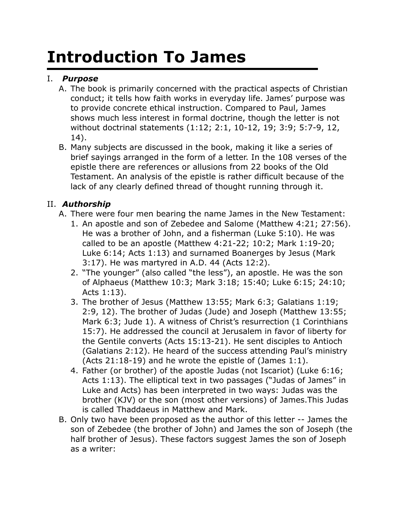# **Introduction To James**

# I. *Purpose*

- A. The book is primarily concerned with the practical aspects of Christian conduct; it tells how faith works in everyday life. James' purpose was to provide concrete ethical instruction. Compared to Paul, James shows much less interest in formal doctrine, though the letter is not without doctrinal statements (1:12; 2:1, 10-12, 19; 3:9; 5:7-9, 12, 14).
- B. Many subjects are discussed in the book, making it like a series of brief sayings arranged in the form of a letter. In the 108 verses of the epistle there are references or allusions from 22 books of the Old Testament. An analysis of the epistle is rather difficult because of the lack of any clearly defined thread of thought running through it.

## II. *Authorship*

- A. There were four men bearing the name James in the New Testament:
	- 1. An apostle and son of Zebedee and Salome (Matthew 4:21; 27:56). He was a brother of John, and a fisherman (Luke 5:10). He was called to be an apostle (Matthew 4:21-22; 10:2; Mark 1:19-20; Luke 6:14; Acts 1:13) and surnamed Boanerges by Jesus (Mark 3:17). He was martyred in A.D. 44 (Acts 12:2).
	- 2. "The younger" (also called "the less"), an apostle. He was the son of Alphaeus (Matthew 10:3; Mark 3:18; 15:40; Luke 6:15; 24:10; Acts 1:13).
	- 3. The brother of Jesus (Matthew 13:55; Mark 6:3; Galatians 1:19; 2:9, 12). The brother of Judas (Jude) and Joseph (Matthew 13:55; Mark 6:3; Jude 1). A witness of Christ's resurrection (1 Corinthians 15:7). He addressed the council at Jerusalem in favor of liberty for the Gentile converts (Acts 15:13-21). He sent disciples to Antioch (Galatians 2:12). He heard of the success attending Paul's ministry (Acts 21:18-19) and he wrote the epistle of (James 1:1).
	- 4. Father (or brother) of the apostle Judas (not Iscariot) (Luke 6:16; Acts 1:13). The elliptical text in two passages ("Judas of James" in Luke and Acts) has been interpreted in two ways: Judas was the brother (KJV) or the son (most other versions) of James.This Judas is called Thaddaeus in Matthew and Mark.
- B. Only two have been proposed as the author of this letter -- James the son of Zebedee (the brother of John) and James the son of Joseph (the half brother of Jesus). These factors suggest James the son of Joseph as a writer: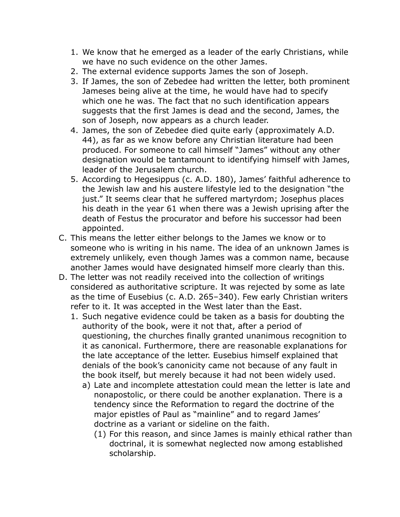- 1. We know that he emerged as a leader of the early Christians, while we have no such evidence on the other James.
- 2. The external evidence supports James the son of Joseph.
- 3. If James, the son of Zebedee had written the letter, both prominent Jameses being alive at the time, he would have had to specify which one he was. The fact that no such identification appears suggests that the first James is dead and the second, James, the son of Joseph, now appears as a church leader.
- 4. James, the son of Zebedee died quite early (approximately A.D. 44), as far as we know before any Christian literature had been produced. For someone to call himself "James" without any other designation would be tantamount to identifying himself with James, leader of the Jerusalem church.
- 5. According to Hegesippus (c. A.D. 180), James' faithful adherence to the Jewish law and his austere lifestyle led to the designation "the just." It seems clear that he suffered martyrdom; Josephus places his death in the year 61 when there was a Jewish uprising after the death of Festus the procurator and before his successor had been appointed.
- C. This means the letter either belongs to the James we know or to someone who is writing in his name. The idea of an unknown James is extremely unlikely, even though James was a common name, because another James would have designated himself more clearly than this.
- D. The letter was not readily received into the collection of writings considered as authoritative scripture. It was rejected by some as late as the time of Eusebius (c. A.D. 265–340). Few early Christian writers refer to it. It was accepted in the West later than the East.
	- 1. Such negative evidence could be taken as a basis for doubting the authority of the book, were it not that, after a period of questioning, the churches finally granted unanimous recognition to it as canonical. Furthermore, there are reasonable explanations for the late acceptance of the letter. Eusebius himself explained that denials of the book's canonicity came not because of any fault in the book itself, but merely because it had not been widely used.
		- a) Late and incomplete attestation could mean the letter is late and nonapostolic, or there could be another explanation. There is a tendency since the Reformation to regard the doctrine of the major epistles of Paul as "mainline" and to regard James' doctrine as a variant or sideline on the faith.
			- (1) For this reason, and since James is mainly ethical rather than doctrinal, it is somewhat neglected now among established scholarship.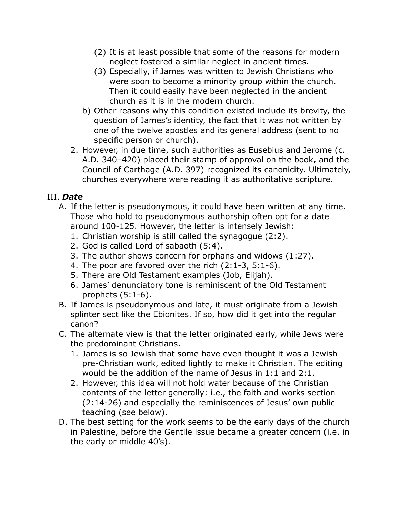- (2) It is at least possible that some of the reasons for modern neglect fostered a similar neglect in ancient times.
- (3) Especially, if James was written to Jewish Christians who were soon to become a minority group within the church. Then it could easily have been neglected in the ancient church as it is in the modern church.
- b) Other reasons why this condition existed include its brevity, the question of James's identity, the fact that it was not written by one of the twelve apostles and its general address (sent to no specific person or church).
- 2. However, in due time, such authorities as Eusebius and Jerome (c. A.D. 340–420) placed their stamp of approval on the book, and the Council of Carthage (A.D. 397) recognized its canonicity. Ultimately, churches everywhere were reading it as authoritative scripture.

## III. *Date*

- A. If the letter is pseudonymous, it could have been written at any time. Those who hold to pseudonymous authorship often opt for a date around 100-125. However, the letter is intensely Jewish:
	- 1. Christian worship is still called the synagogue (2:2).
	- 2. God is called Lord of sabaoth (5:4).
	- 3. The author shows concern for orphans and widows (1:27).
	- 4. The poor are favored over the rich (2:1-3, 5:1-6).
	- 5. There are Old Testament examples (Job, Elijah).
	- 6. James' denunciatory tone is reminiscent of the Old Testament prophets (5:1-6).
- B. If James is pseudonymous and late, it must originate from a Jewish splinter sect like the Ebionites. If so, how did it get into the regular canon?
- C. The alternate view is that the letter originated early, while Jews were the predominant Christians.
	- 1. James is so Jewish that some have even thought it was a Jewish pre-Christian work, edited lightly to make it Christian. The editing would be the addition of the name of Jesus in 1:1 and 2:1.
	- 2. However, this idea will not hold water because of the Christian contents of the letter generally: i.e., the faith and works section (2:14-26) and especially the reminiscences of Jesus' own public teaching (see below).
- D. The best setting for the work seems to be the early days of the church in Palestine, before the Gentile issue became a greater concern (i.e. in the early or middle 40's).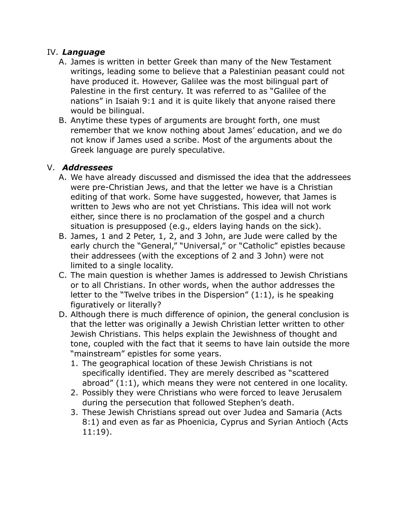## IV. *Language*

- A. James is written in better Greek than many of the New Testament writings, leading some to believe that a Palestinian peasant could not have produced it. However, Galilee was the most bilingual part of Palestine in the first century. It was referred to as "Galilee of the nations" in Isaiah 9:1 and it is quite likely that anyone raised there would be bilingual.
- B. Anytime these types of arguments are brought forth, one must remember that we know nothing about James' education, and we do not know if James used a scribe. Most of the arguments about the Greek language are purely speculative.

#### V. *Addressees*

- A. We have already discussed and dismissed the idea that the addressees were pre-Christian Jews, and that the letter we have is a Christian editing of that work. Some have suggested, however, that James is written to Jews who are not yet Christians. This idea will not work either, since there is no proclamation of the gospel and a church situation is presupposed (e.g., elders laying hands on the sick).
- B. James, 1 and 2 Peter, 1, 2, and 3 John, are Jude were called by the early church the "General," "Universal," or "Catholic" epistles because their addressees (with the exceptions of 2 and 3 John) were not limited to a single locality.
- C. The main question is whether James is addressed to Jewish Christians or to all Christians. In other words, when the author addresses the letter to the "Twelve tribes in the Dispersion" (1:1), is he speaking figuratively or literally?
- D. Although there is much difference of opinion, the general conclusion is that the letter was originally a Jewish Christian letter written to other Jewish Christians. This helps explain the Jewishness of thought and tone, coupled with the fact that it seems to have lain outside the more "mainstream" epistles for some years.
	- 1. The geographical location of these Jewish Christians is not specifically identified. They are merely described as "scattered abroad" (1:1), which means they were not centered in one locality.
	- 2. Possibly they were Christians who were forced to leave Jerusalem during the persecution that followed Stephen's death.
	- 3. These Jewish Christians spread out over Judea and Samaria (Acts 8:1) and even as far as Phoenicia, Cyprus and Syrian Antioch (Acts 11:19).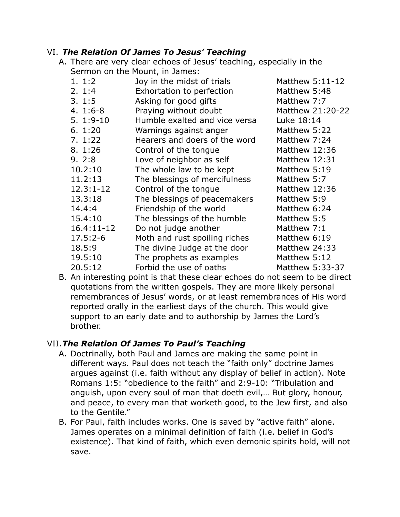#### VI. *The Relation Of James To Jesus' Teaching*

A. There are very clear echoes of Jesus' teaching, especially in the Sermon on the Mount, in James:

| 1.1:2         | Joy in the midst of trials    | Matthew 5:11-12  |
|---------------|-------------------------------|------------------|
| 2.1:4         | Exhortation to perfection     | Matthew 5:48     |
| 3.1:5         | Asking for good gifts         | Matthew 7:7      |
| $4.1:6-8$     | Praying without doubt         | Matthew 21:20-22 |
| $5.1:9-10$    | Humble exalted and vice versa | Luke 18:14       |
| 6.1:20        | Warnings against anger        | Matthew 5:22     |
| 7.1:22        | Hearers and doers of the word | Matthew 7:24     |
| 8. 1:26       | Control of the tongue         | Matthew 12:36    |
| 9.2:8         | Love of neighbor as self      | Matthew 12:31    |
| 10.2:10       | The whole law to be kept      | Matthew 5:19     |
| 11.2:13       | The blessings of mercifulness | Matthew 5:7      |
| $12.3:1 - 12$ | Control of the tongue         | Matthew 12:36    |
| 13.3:18       | The blessings of peacemakers  | Matthew 5:9      |
| 14.4:4        | Friendship of the world       | Matthew 6:24     |
| 15.4:10       | The blessings of the humble   | Matthew 5:5      |
| 16.4:11-12    | Do not judge another          | Matthew 7:1      |
| $17.5:2-6$    | Moth and rust spoiling riches | Matthew 6:19     |
| 18.5:9        | The divine Judge at the door  | Matthew 24:33    |
| 19.5:10       | The prophets as examples      | Matthew 5:12     |
| 20.5:12       | Forbid the use of oaths       | Matthew 5:33-37  |
|               |                               |                  |

B. An interesting point is that these clear echoes do not seem to be direct quotations from the written gospels. They are more likely personal remembrances of Jesus' words, or at least remembrances of His word reported orally in the earliest days of the church. This would give support to an early date and to authorship by James the Lord's brother.

## VII.*The Relation Of James To Paul's Teaching*

- A. Doctrinally, both Paul and James are making the same point in different ways. Paul does not teach the "faith only" doctrine James argues against (i.e. faith without any display of belief in action). Note Romans 1:5: "obedience to the faith" and 2:9-10: "Tribulation and anguish, upon every soul of man that doeth evil,… But glory, honour, and peace, to every man that worketh good, to the Jew first, and also to the Gentile."
- B. For Paul, faith includes works. One is saved by "active faith" alone. James operates on a minimal definition of faith (i.e. belief in God's existence). That kind of faith, which even demonic spirits hold, will not save.